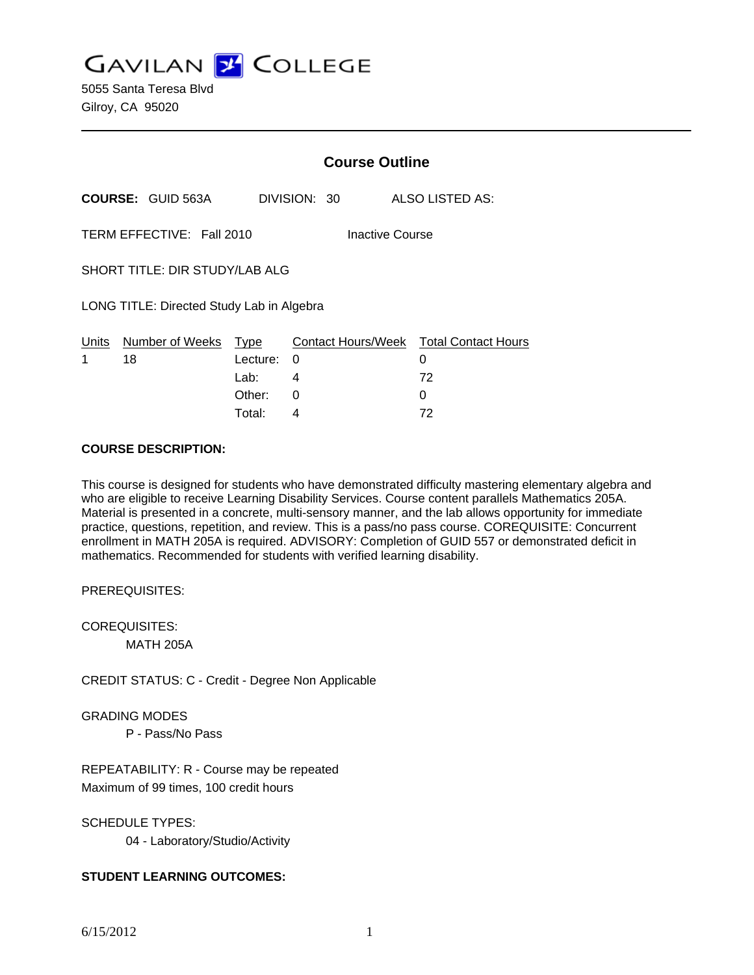**GAVILAN Z COLLEGE** 

5055 Santa Teresa Blvd Gilroy, CA 95020

|                                              |                          | <b>Course Outline</b> |              |                                             |  |
|----------------------------------------------|--------------------------|-----------------------|--------------|---------------------------------------------|--|
|                                              | <b>COURSE: GUID 563A</b> |                       | DIVISION: 30 | ALSO LISTED AS:                             |  |
| TERM EFFECTIVE: Fall 2010<br>Inactive Course |                          |                       |              |                                             |  |
| SHORT TITLE: DIR STUDY/LAB ALG               |                          |                       |              |                                             |  |
| LONG TITLE: Directed Study Lab in Algebra    |                          |                       |              |                                             |  |
| Units<br>1                                   | Number of Weeks<br>18    | Type<br>Lecture:      | 0            | Contact Hours/Week Total Contact Hours<br>0 |  |
|                                              |                          | Lab:                  | 4            | 72                                          |  |
|                                              |                          | Other:                | 0            | 0                                           |  |

### **COURSE DESCRIPTION:**

This course is designed for students who have demonstrated difficulty mastering elementary algebra and who are eligible to receive Learning Disability Services. Course content parallels Mathematics 205A. Material is presented in a concrete, multi-sensory manner, and the lab allows opportunity for immediate practice, questions, repetition, and review. This is a pass/no pass course. COREQUISITE: Concurrent enrollment in MATH 205A is required. ADVISORY: Completion of GUID 557 or demonstrated deficit in mathematics. Recommended for students with verified learning disability.

Total: 4 72

PREREQUISITES:

COREQUISITES: MATH 205A

CREDIT STATUS: C - Credit - Degree Non Applicable

GRADING MODES

P - Pass/No Pass

REPEATABILITY: R - Course may be repeated Maximum of 99 times, 100 credit hours

SCHEDULE TYPES:

04 - Laboratory/Studio/Activity

# **STUDENT LEARNING OUTCOMES:**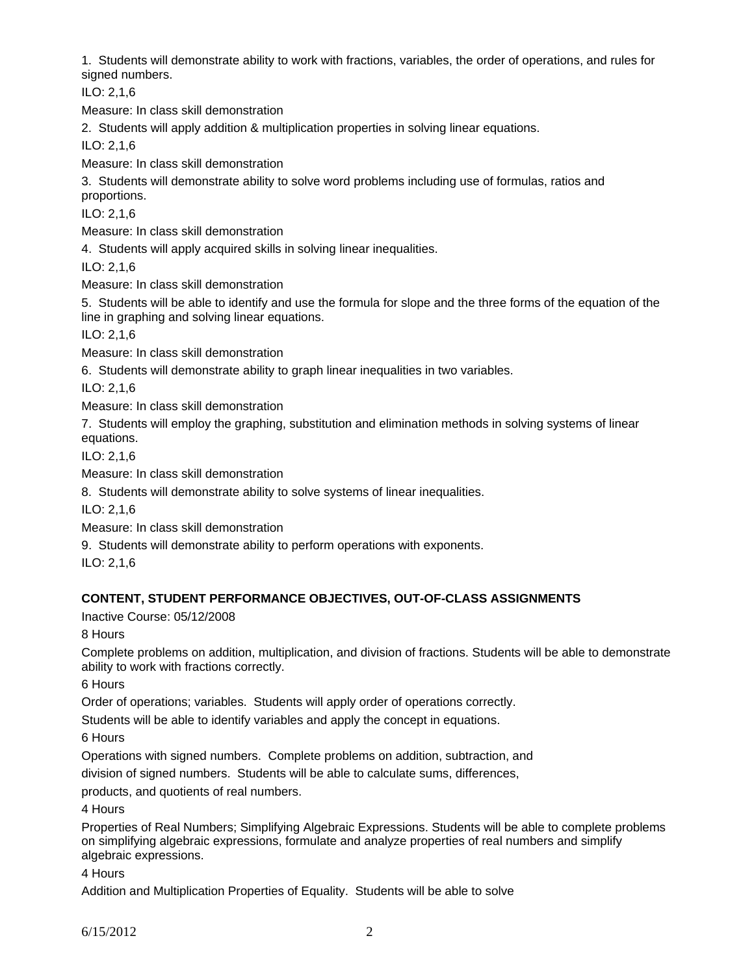1. Students will demonstrate ability to work with fractions, variables, the order of operations, and rules for signed numbers.

ILO: 2,1,6

Measure: In class skill demonstration

2. Students will apply addition & multiplication properties in solving linear equations.

ILO: 2,1,6

Measure: In class skill demonstration

3. Students will demonstrate ability to solve word problems including use of formulas, ratios and proportions.

ILO: 2,1,6

Measure: In class skill demonstration

4. Students will apply acquired skills in solving linear inequalities.

ILO: 2,1,6

Measure: In class skill demonstration

5. Students will be able to identify and use the formula for slope and the three forms of the equation of the line in graphing and solving linear equations.

ILO: 2,1,6

Measure: In class skill demonstration

6. Students will demonstrate ability to graph linear inequalities in two variables.

ILO: 2,1,6

Measure: In class skill demonstration

7. Students will employ the graphing, substitution and elimination methods in solving systems of linear equations.

ILO: 2,1,6

Measure: In class skill demonstration

8. Students will demonstrate ability to solve systems of linear inequalities.

ILO: 2,1,6

Measure: In class skill demonstration

9. Students will demonstrate ability to perform operations with exponents.

ILO: 2,1,6

## **CONTENT, STUDENT PERFORMANCE OBJECTIVES, OUT-OF-CLASS ASSIGNMENTS**

Inactive Course: 05/12/2008

8 Hours

Complete problems on addition, multiplication, and division of fractions. Students will be able to demonstrate ability to work with fractions correctly.

6 Hours

Order of operations; variables. Students will apply order of operations correctly.

Students will be able to identify variables and apply the concept in equations.

6 Hours

Operations with signed numbers. Complete problems on addition, subtraction, and

division of signed numbers. Students will be able to calculate sums, differences,

products, and quotients of real numbers.

4 Hours

Properties of Real Numbers; Simplifying Algebraic Expressions. Students will be able to complete problems on simplifying algebraic expressions, formulate and analyze properties of real numbers and simplify algebraic expressions.

4 Hours

Addition and Multiplication Properties of Equality. Students will be able to solve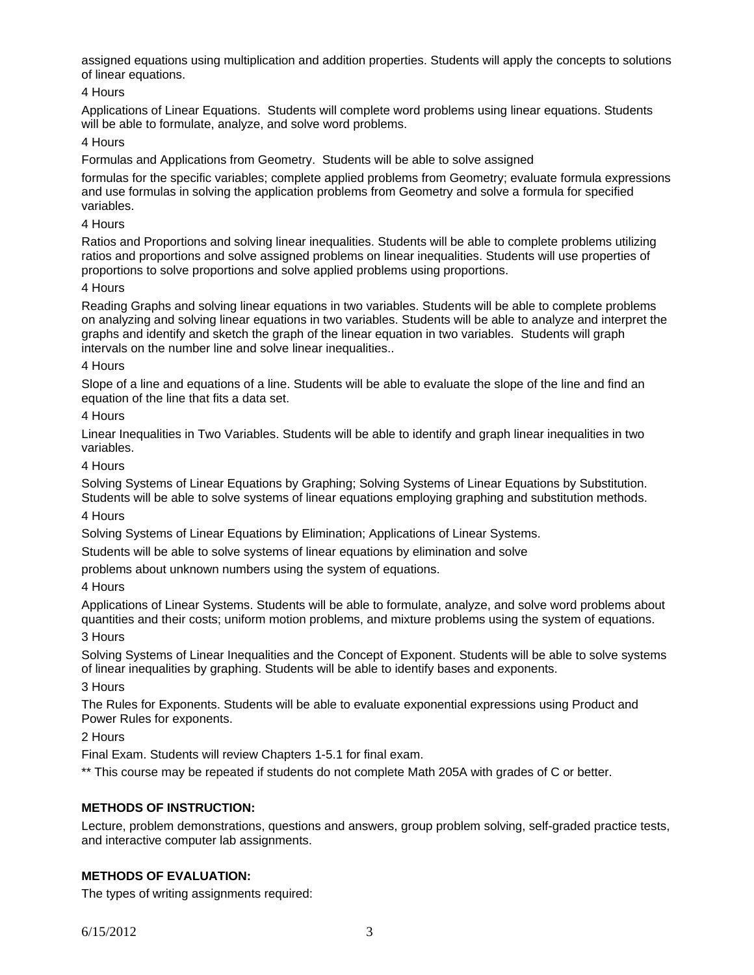assigned equations using multiplication and addition properties. Students will apply the concepts to solutions of linear equations.

# 4 Hours

Applications of Linear Equations. Students will complete word problems using linear equations. Students will be able to formulate, analyze, and solve word problems.

## 4 Hours

Formulas and Applications from Geometry. Students will be able to solve assigned

formulas for the specific variables; complete applied problems from Geometry; evaluate formula expressions and use formulas in solving the application problems from Geometry and solve a formula for specified variables.

### 4 Hours

Ratios and Proportions and solving linear inequalities. Students will be able to complete problems utilizing ratios and proportions and solve assigned problems on linear inequalities. Students will use properties of proportions to solve proportions and solve applied problems using proportions.

### 4 Hours

Reading Graphs and solving linear equations in two variables. Students will be able to complete problems on analyzing and solving linear equations in two variables. Students will be able to analyze and interpret the graphs and identify and sketch the graph of the linear equation in two variables. Students will graph intervals on the number line and solve linear inequalities..

#### 4 Hours

Slope of a line and equations of a line. Students will be able to evaluate the slope of the line and find an equation of the line that fits a data set.

### 4 Hours

Linear Inequalities in Two Variables. Students will be able to identify and graph linear inequalities in two variables.

### 4 Hours

Solving Systems of Linear Equations by Graphing; Solving Systems of Linear Equations by Substitution. Students will be able to solve systems of linear equations employing graphing and substitution methods.

#### 4 Hours

Solving Systems of Linear Equations by Elimination; Applications of Linear Systems.

Students will be able to solve systems of linear equations by elimination and solve

problems about unknown numbers using the system of equations.

## 4 Hours

Applications of Linear Systems. Students will be able to formulate, analyze, and solve word problems about quantities and their costs; uniform motion problems, and mixture problems using the system of equations.

#### 3 Hours

Solving Systems of Linear Inequalities and the Concept of Exponent. Students will be able to solve systems of linear inequalities by graphing. Students will be able to identify bases and exponents.

#### 3 Hours

The Rules for Exponents. Students will be able to evaluate exponential expressions using Product and Power Rules for exponents.

## 2 Hours

Final Exam. Students will review Chapters 1-5.1 for final exam.

\*\* This course may be repeated if students do not complete Math 205A with grades of C or better.

# **METHODS OF INSTRUCTION:**

Lecture, problem demonstrations, questions and answers, group problem solving, self-graded practice tests, and interactive computer lab assignments.

## **METHODS OF EVALUATION:**

The types of writing assignments required: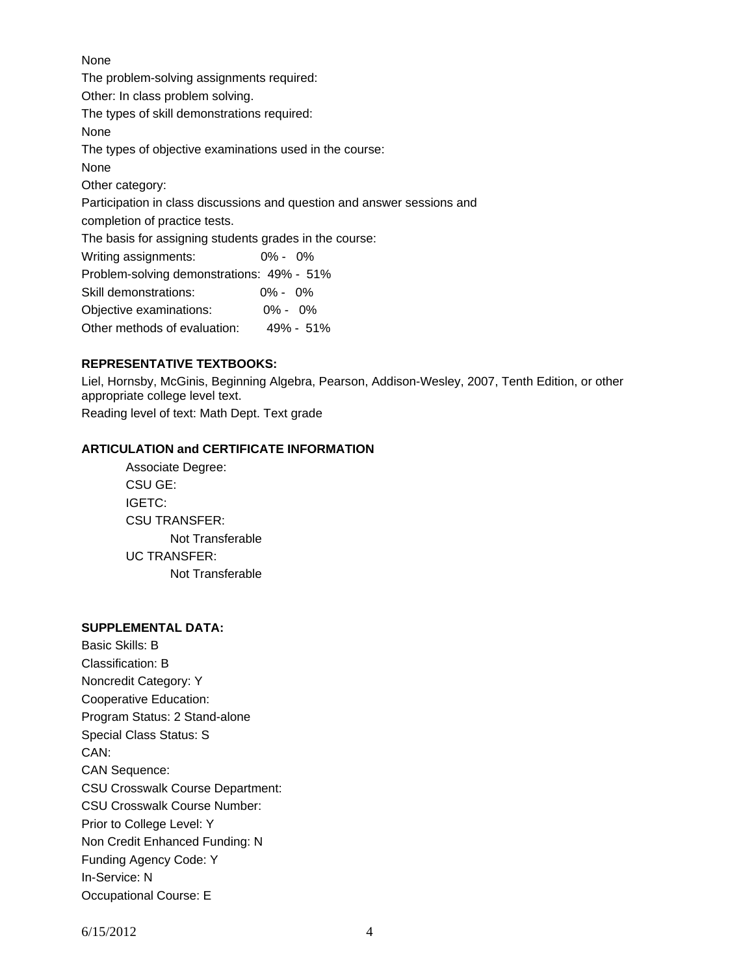None The problem-solving assignments required: Other: In class problem solving. The types of skill demonstrations required: None The types of objective examinations used in the course: None Other category: Participation in class discussions and question and answer sessions and completion of practice tests. The basis for assigning students grades in the course: Writing assignments: 0% - 0% Problem-solving demonstrations: 49% - 51% Skill demonstrations: 0% - 0% Objective examinations: 0% - 0% Other methods of evaluation: 49% - 51%

### **REPRESENTATIVE TEXTBOOKS:**

Liel, Hornsby, McGinis, Beginning Algebra, Pearson, Addison-Wesley, 2007, Tenth Edition, or other appropriate college level text. Reading level of text: Math Dept. Text grade

#### **ARTICULATION and CERTIFICATE INFORMATION**

 Associate Degree: CSU GE: IGETC: CSU TRANSFER: Not Transferable UC TRANSFER: Not Transferable

#### **SUPPLEMENTAL DATA:**

Basic Skills: B Classification: B Noncredit Category: Y Cooperative Education: Program Status: 2 Stand-alone Special Class Status: S CAN: CAN Sequence: CSU Crosswalk Course Department: CSU Crosswalk Course Number: Prior to College Level: Y Non Credit Enhanced Funding: N Funding Agency Code: Y In-Service: N Occupational Course: E